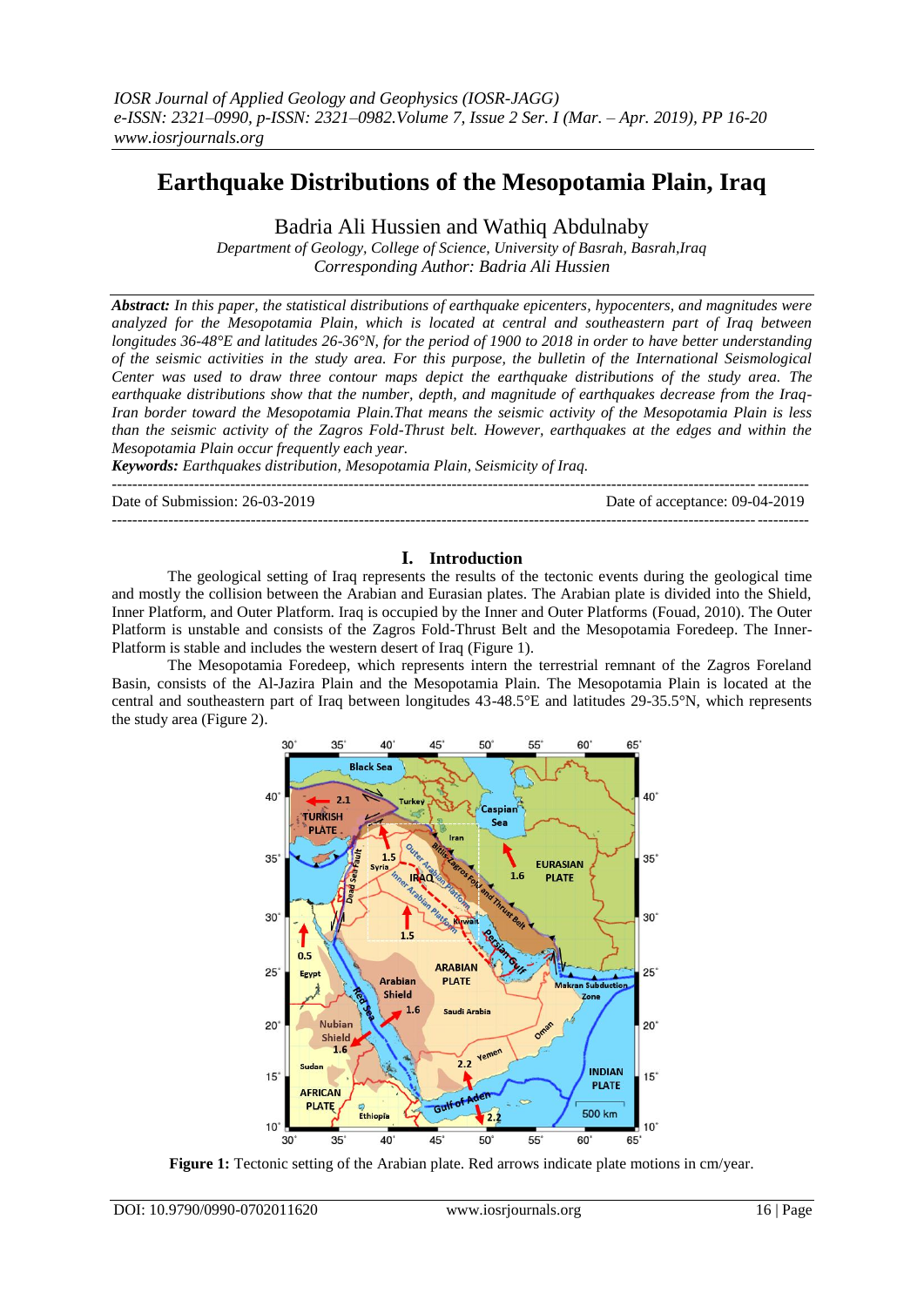# **Earthquake Distributions of the Mesopotamia Plain, Iraq**

Badria Ali Hussien and Wathiq Abdulnaby

*Department of Geology, College of Science, University of Basrah, Basrah,Iraq Corresponding Author: Badria Ali Hussien*

*Abstract: In this paper, the statistical distributions of earthquake epicenters, hypocenters, and magnitudes were analyzed for the Mesopotamia Plain, which is located at central and southeastern part of Iraq between longitudes 36-48°E and latitudes 26-36°N, for the period of 1900 to 2018 in order to have better understanding of the seismic activities in the study area. For this purpose, the bulletin of the International Seismological Center was used to draw three contour maps depict the earthquake distributions of the study area. The earthquake distributions show that the number, depth, and magnitude of earthquakes decrease from the Iraq-Iran border toward the Mesopotamia Plain.That means the seismic activity of the Mesopotamia Plain is less than the seismic activity of the Zagros Fold-Thrust belt. However, earthquakes at the edges and within the Mesopotamia Plain occur frequently each year.* 

*Keywords: Earthquakes distribution, Mesopotamia Plain, Seismicity of Iraq.*

Date of Submission: 26-03-2019 Date of acceptance: 09-04-2019

---------------------------------------------------------------------------------------------------------------------------------------

---------------------------------------------------------------------------------------------------------------------------------------

## **I. Introduction**

The geological setting of Iraq represents the results of the tectonic events during the geological time and mostly the collision between the Arabian and Eurasian plates. The Arabian plate is divided into the Shield, Inner Platform, and Outer Platform. Iraq is occupied by the Inner and Outer Platforms (Fouad, 2010). The Outer Platform is unstable and consists of the Zagros Fold-Thrust Belt and the Mesopotamia Foredeep. The Inner-Platform is stable and includes the western desert of Iraq (Figure 1).

The Mesopotamia Foredeep, which represents intern the terrestrial remnant of the Zagros Foreland Basin, consists of the Al-Jazira Plain and the Mesopotamia Plain. The Mesopotamia Plain is located at the central and southeastern part of Iraq between longitudes 43-48.5°E and latitudes 29-35.5°N, which represents the study area (Figure 2).



**Figure 1:** Tectonic setting of the Arabian plate. Red arrows indicate plate motions in cm/year.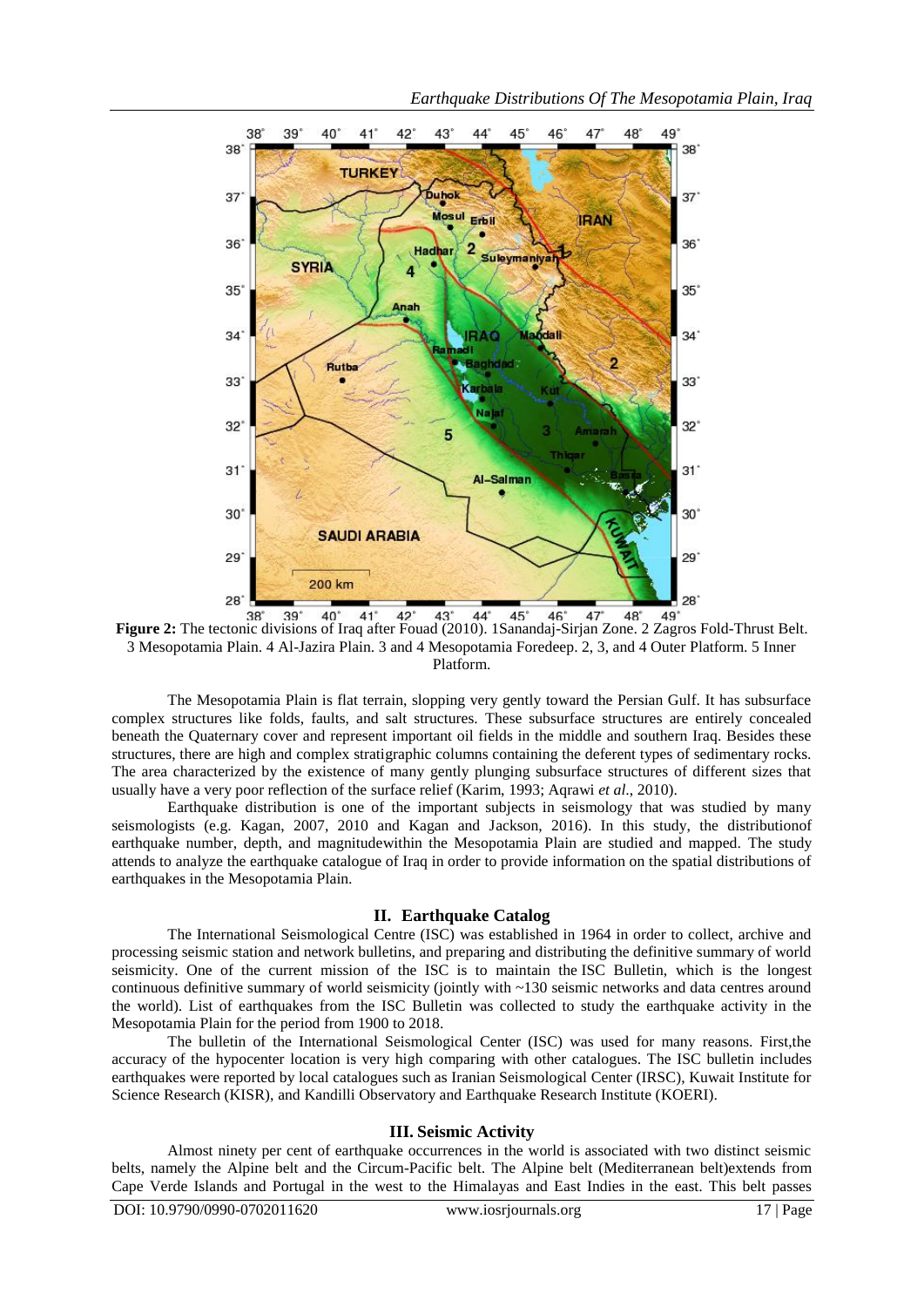

**Figure 2:** The tectonic divisions of Iraq after Fouad (2010). 1Sanandaj-Sirjan Zone. 2 Zagros Fold-Thrust Belt. 3 Mesopotamia Plain. 4 Al-Jazira Plain. 3 and 4 Mesopotamia Foredeep. 2, 3, and 4 Outer Platform. 5 Inner Platform.

The Mesopotamia Plain is flat terrain, slopping very gently toward the Persian Gulf. It has subsurface complex structures like folds, faults, and salt structures. These subsurface structures are entirely concealed beneath the Quaternary cover and represent important oil fields in the middle and southern Iraq. Besides these structures, there are high and complex stratigraphic columns containing the deferent types of sedimentary rocks. The area characterized by the existence of many gently plunging subsurface structures of different sizes that usually have a very poor reflection of the surface relief (Karim, 1993; Aqrawi *et al*., 2010).

Earthquake distribution is one of the important subjects in seismology that was studied by many seismologists (e.g. Kagan, 2007, 2010 and Kagan and Jackson, 2016). In this study, the distributionof earthquake number, depth, and magnitudewithin the Mesopotamia Plain are studied and mapped. The study attends to analyze the earthquake catalogue of Iraq in order to provide information on the spatial distributions of earthquakes in the Mesopotamia Plain.

### **II. Earthquake Catalog**

The International Seismological Centre (ISC) was established in 1964 in order to collect, archive and processing seismic station and network bulletins, and preparing and distributing the definitive summary of world seismicity. One of the current mission of the ISC is to maintain the [ISC Bulletin,](http://www.isc.ac.uk/iscbulletin/) which is the longest continuous definitive summary of world seismicity (jointly with ~130 seismic networks and data centres around the world). List of earthquakes from the ISC Bulletin was collected to study the earthquake activity in the Mesopotamia Plain for the period from 1900 to 2018.

The bulletin of the International Seismological Center (ISC) was used for many reasons. First,the accuracy of the hypocenter location is very high comparing with other catalogues. The ISC bulletin includes earthquakes were reported by local catalogues such as Iranian Seismological Center (IRSC), Kuwait Institute for Science Research (KISR), and Kandilli Observatory and Earthquake Research Institute (KOERI).

## **III. Seismic Activity**

Almost ninety per cent of earthquake occurrences in the world is associated with two distinct seismic belts, namely the Alpine belt and the Circum-Pacific belt. The Alpine belt (Mediterranean belt)extends from Cape Verde Islands and Portugal in the west to the Himalayas and East Indies in the east. This belt passes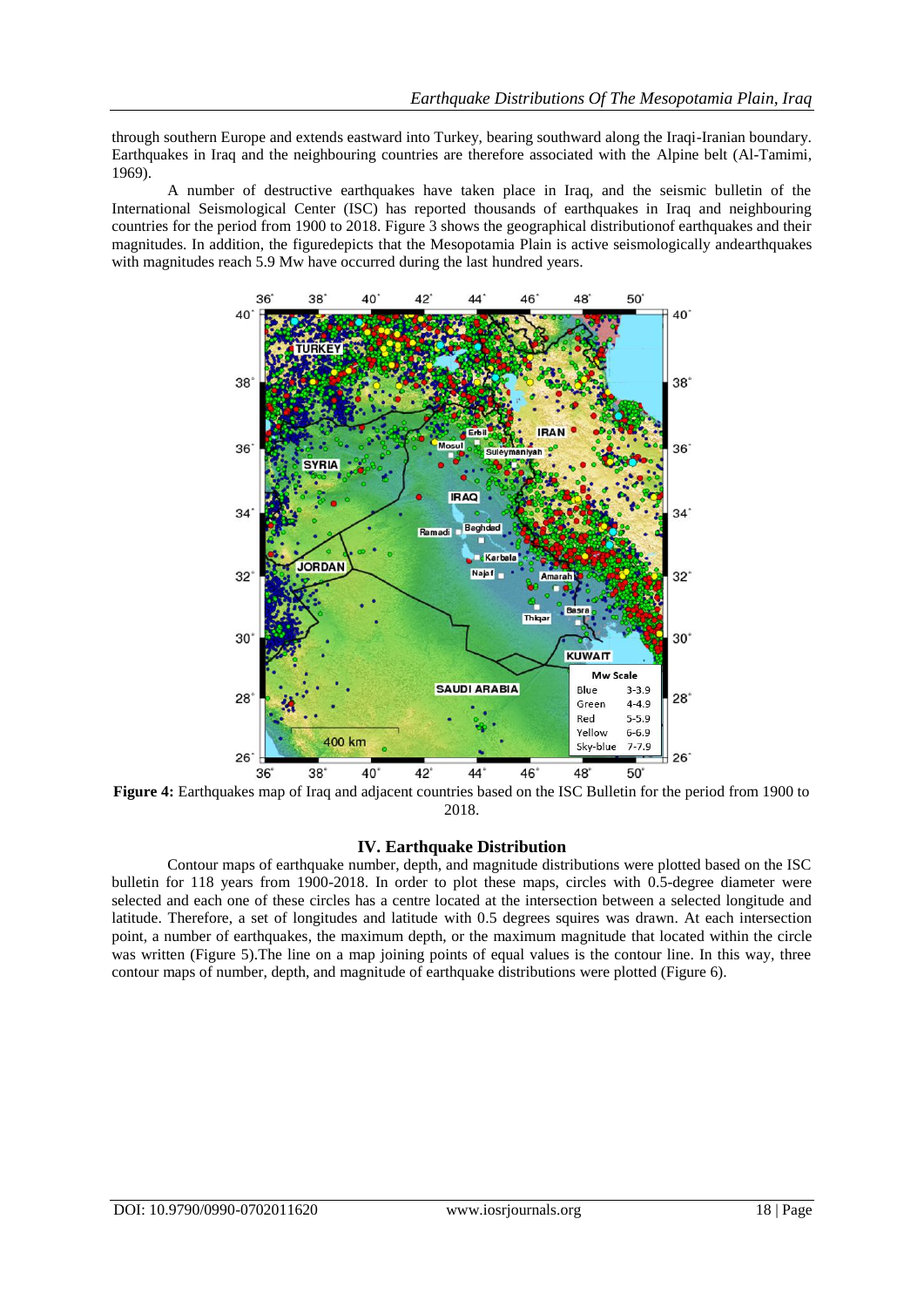through southern Europe and extends eastward into Turkey, bearing southward along the Iraqi-Iranian boundary. Earthquakes in Iraq and the neighbouring countries are therefore associated with the Alpine belt (Al-Tamimi, 1969).

A number of destructive earthquakes have taken place in Iraq, and the seismic bulletin of the International Seismological Center (ISC) has reported thousands of earthquakes in Iraq and neighbouring countries for the period from 1900 to 2018. Figure 3 shows the geographical distributionof earthquakes and their magnitudes. In addition, the figuredepicts that the Mesopotamia Plain is active seismologically andearthquakes with magnitudes reach 5.9 Mw have occurred during the last hundred years.



**Figure 4:** Earthquakes map of Iraq and adjacent countries based on the ISC Bulletin for the period from 1900 to 2018.

## **IV. Earthquake Distribution**

Contour maps of earthquake number, depth, and magnitude distributions were plotted based on the ISC bulletin for 118 years from 1900-2018. In order to plot these maps, circles with 0.5-degree diameter were selected and each one of these circles has a centre located at the intersection between a selected longitude and latitude. Therefore, a set of longitudes and latitude with 0.5 degrees squires was drawn. At each intersection point, a number of earthquakes, the maximum depth, or the maximum magnitude that located within the circle was written (Figure 5). The line on a map joining points of equal values is the contour line. In this way, three contour maps of number, depth, and magnitude of earthquake distributions were plotted (Figure 6).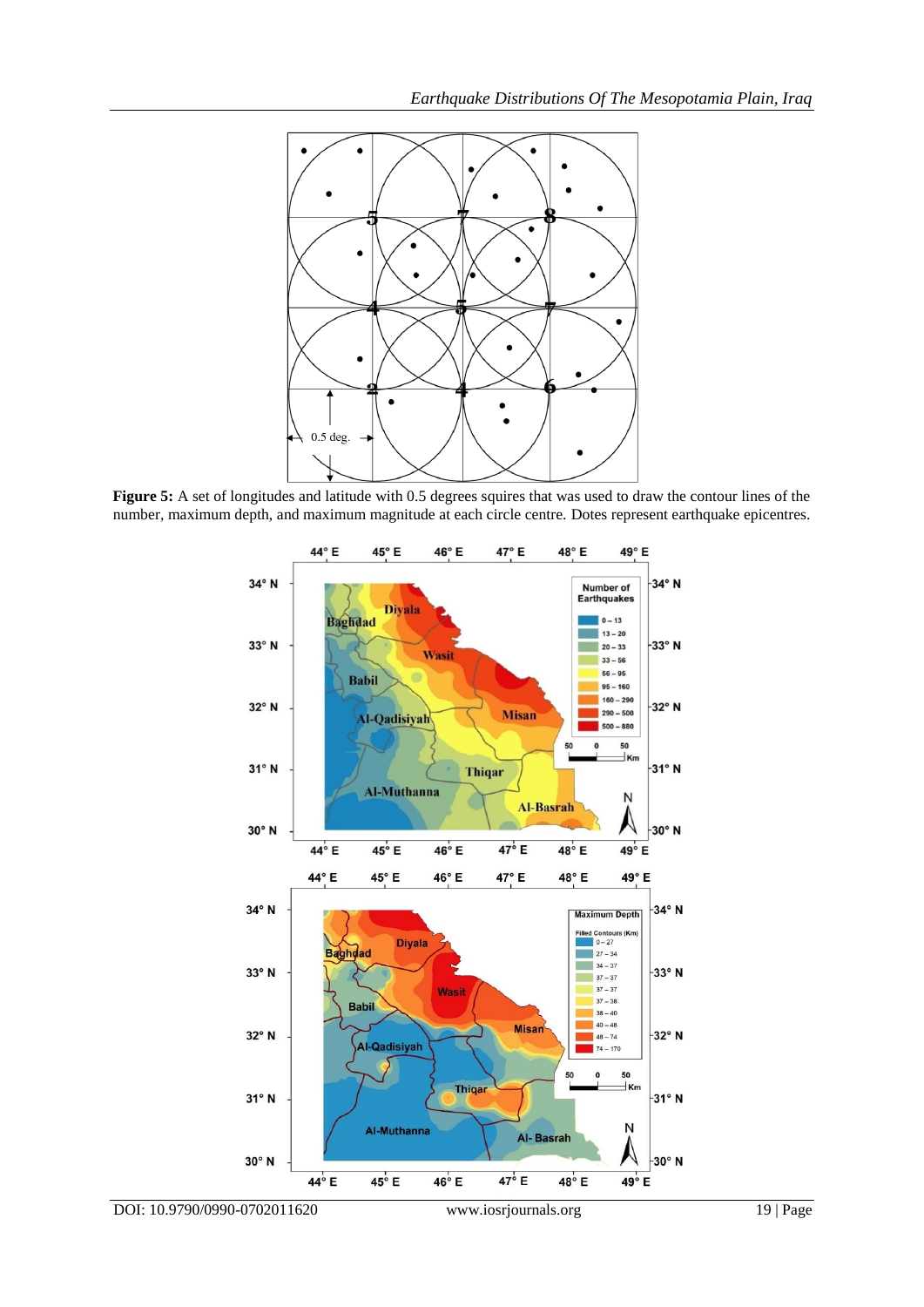

Figure 5: A set of longitudes and latitude with 0.5 degrees squires that was used to draw the contour lines of the number, maximum depth, and maximum magnitude at each circle centre. Dotes represent earthquake epicentres.